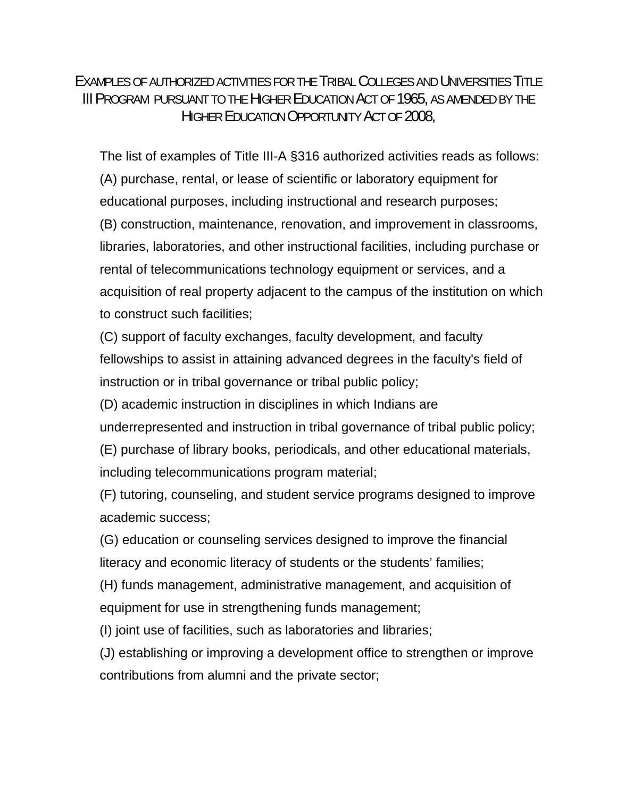EXAMPLES OF AUTHORIZED ACTIVITIES FOR THE TRIBAL COLLEGES AND UNIVERSITIES TITLE III PROGRAM PURSUANT TO THE HIGHER EDUCATION ACT OF 1965, AS AMENDED BY THE HIGHER EDUCATION OPPORTUNITY ACT OF 2008,

The list of examples of Title III-A §316 authorized activities reads as follows: (A) purchase, rental, or lease of scientific or laboratory equipment for educational purposes, including instructional and research purposes; (B) construction, maintenance, renovation, and improvement in classrooms, libraries, laboratories, and other instructional facilities, including purchase or rental of telecommunications technology equipment or services, and a acquisition of real property adjacent to the campus of the institution on which to construct such facilities;

(C) support of faculty exchanges, faculty development, and faculty fellowships to assist in attaining advanced degrees in the faculty's field of instruction or in tribal governance or tribal public policy;

(D) academic instruction in disciplines in which Indians are underrepresented and instruction in tribal governance of tribal public policy; (E) purchase of library books, periodicals, and other educational materials,

including telecommunications program material;

(F) tutoring, counseling, and student service programs designed to improve academic success;

(G) education or counseling services designed to improve the financial literacy and economic literacy of students or the students' families;

(H) funds management, administrative management, and acquisition of equipment for use in strengthening funds management;

(I) joint use of facilities, such as laboratories and libraries;

(J) establishing or improving a development office to strengthen or improve contributions from alumni and the private sector;